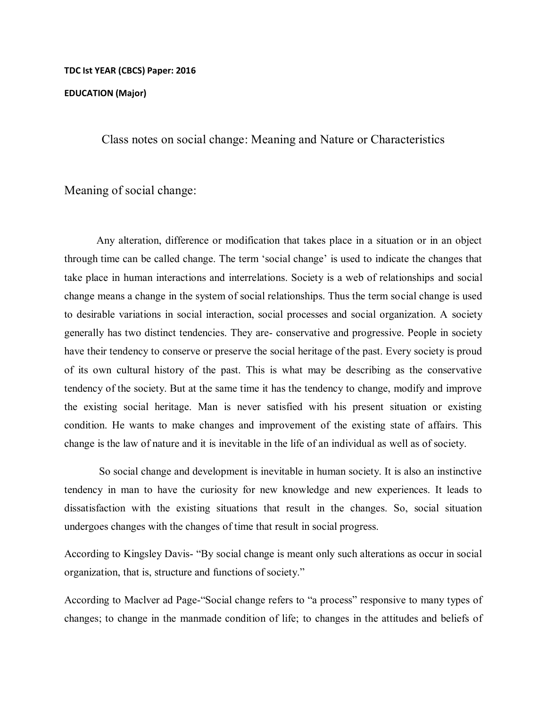## **TDC Ist YEAR (CBCS) Paper: 2016 EDUCATION (Major)**

Class notes on social change: Meaning and Nature or Characteristics

## Meaning of social change:

Any alteration, difference or modification that takes place in a situation or in an object through time can be called change. The term 'social change' is used to indicate the changes that take place in human interactions and interrelations. Society is a web of relationships and social change means a change in the system of social relationships. Thus the term social change is used to desirable variations in social interaction, social processes and social organization. A society generally has two distinct tendencies. They are- conservative and progressive. People in society have their tendency to conserve or preserve the social heritage of the past. Every society is proud of its own cultural history of the past. This is what may be describing as the conservative tendency of the society. But at the same time it has the tendency to change, modify and improve the existing social heritage. Man is never satisfied with his present situation or existing condition. He wants to make changes and improvement of the existing state of affairs. This change is the law of nature and it is inevitable in the life of an individual as well as of society.

So social change and development is inevitable in human society. It is also an instinctive tendency in man to have the curiosity for new knowledge and new experiences. It leads to dissatisfaction with the existing situations that result in the changes. So, social situation undergoes changes with the changes of time that result in social progress.

According to Kingsley Davis- "By social change is meant only such alterations as occur in social organization, that is, structure and functions of society."

According to Maclver ad Page-"Social change refers to "a process" responsive to many types of changes; to change in the manmade condition of life; to changes in the attitudes and beliefs of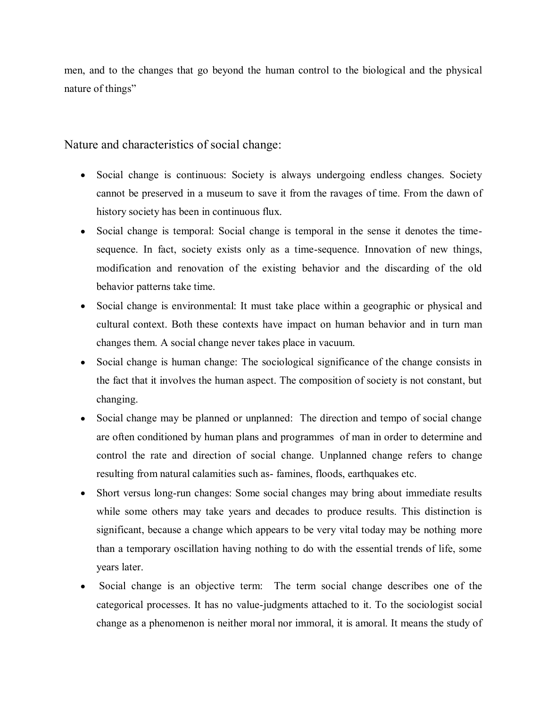men, and to the changes that go beyond the human control to the biological and the physical nature of things"

Nature and characteristics of social change:

- Social change is continuous: Society is always undergoing endless changes. Society cannot be preserved in a museum to save it from the ravages of time. From the dawn of history society has been in continuous flux.
- Social change is temporal: Social change is temporal in the sense it denotes the timesequence. In fact, society exists only as a time-sequence. Innovation of new things, modification and renovation of the existing behavior and the discarding of the old behavior patterns take time.
- Social change is environmental: It must take place within a geographic or physical and cultural context. Both these contexts have impact on human behavior and in turn man changes them. A social change never takes place in vacuum.
- Social change is human change: The sociological significance of the change consists in the fact that it involves the human aspect. The composition of society is not constant, but changing.
- Social change may be planned or unplanned: The direction and tempo of social change are often conditioned by human plans and programmes of man in order to determine and control the rate and direction of social change. Unplanned change refers to change resulting from natural calamities such as- famines, floods, earthquakes etc.
- Short versus long-run changes: Some social changes may bring about immediate results while some others may take years and decades to produce results. This distinction is significant, because a change which appears to be very vital today may be nothing more than a temporary oscillation having nothing to do with the essential trends of life, some years later.
- Social change is an objective term: The term social change describes one of the categorical processes. It has no value-judgments attached to it. To the sociologist social change as a phenomenon is neither moral nor immoral, it is amoral. It means the study of